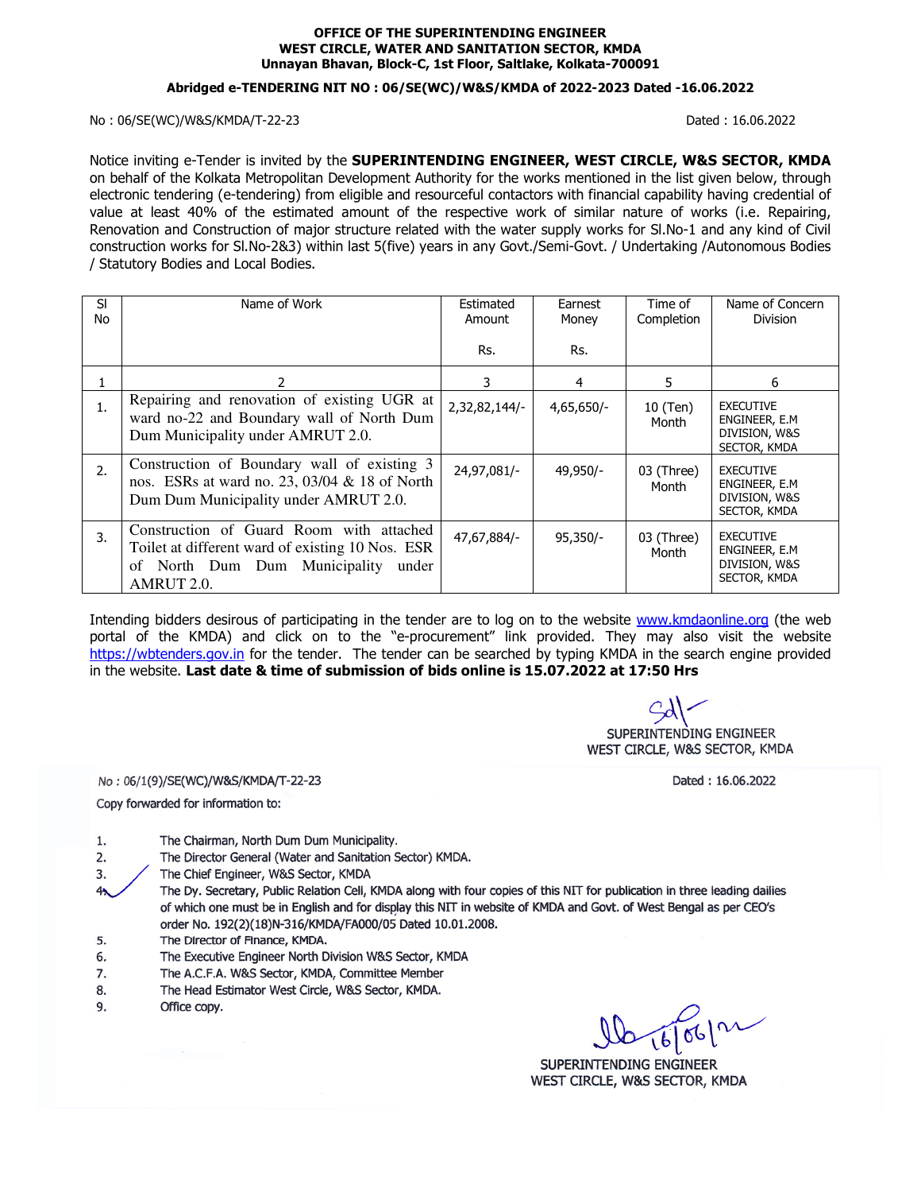#### **OFFICE OF THE SUPERINTENDING ENGINEER WEST CIRCLE, WATER AND SANITATION SECTOR, KMDA Unnayan Bhavan, Block-C, 1st Floor, Saltlake, Kolkata-700091**

#### **Abridged e-TENDERING NIT NO : 06/SE(WC)/W&S/KMDA of 2022-2023 Dated -16.06.2022**

#### No : 06/SE(WC)/W&S/KMDA/T-22-23 Dated : 16.06.2022

Notice inviting e-Tender is invited by the **SUPERINTENDING ENGINEER, WEST CIRCLE, W&S SECTOR, KMDA** on behalf of the Kolkata Metropolitan Development Authority for the works mentioned in the list given below, through electronic tendering (e-tendering) from eligible and resourceful contactors with financial capability having credential of value at least 40% of the estimated amount of the respective work of similar nature of works (i.e. Repairing, Renovation and Construction of major structure related with the water supply works for Sl.No-1 and any kind of Civil construction works for Sl.No-2&3) within last 5(five) years in any Govt./Semi-Govt. / Undertaking /Autonomous Bodies / Statutory Bodies and Local Bodies.

| SI<br>No | Name of Work                                                                                                                                         | Estimated<br>Amount | Earnest<br>Money | Time of<br>Completion | Name of Concern<br><b>Division</b>                                  |
|----------|------------------------------------------------------------------------------------------------------------------------------------------------------|---------------------|------------------|-----------------------|---------------------------------------------------------------------|
|          |                                                                                                                                                      | Rs.                 | Rs.              |                       |                                                                     |
|          |                                                                                                                                                      | 3                   | 4                | 5.                    | 6                                                                   |
| 1.       | Repairing and renovation of existing UGR at<br>ward no-22 and Boundary wall of North Dum<br>Dum Municipality under AMRUT 2.0.                        | 2,32,82,144/-       | 4,65,650/-       | 10 (Ten)<br>Month     | <b>EXECUTIVE</b><br>ENGINEER, E.M.<br>DIVISION, W&S<br>SECTOR, KMDA |
| 2.       | Construction of Boundary wall of existing 3<br>nos. ESRs at ward no. 23, 03/04 & 18 of North<br>Dum Dum Municipality under AMRUT 2.0.                | 24,97,081/-         | 49,950/-         | 03 (Three)<br>Month   | <b>EXECUTIVE</b><br>ENGINEER, E.M.<br>DIVISION, W&S<br>SECTOR, KMDA |
| 3.       | Construction of Guard Room with attached<br>Toilet at different ward of existing 10 Nos. ESR<br>of North Dum Dum Municipality<br>under<br>AMRUT 2.0. | 47,67,884/-         | $95,350/-$       | 03 (Three)<br>Month   | <b>EXECUTIVE</b><br>ENGINEER, E.M.<br>DIVISION, W&S<br>SECTOR, KMDA |

Intending bidders desirous of participating in the tender are to log on to the website www.kmdaonline.org (the web portal of the KMDA) and click on to the "e-procurement" link provided. They may also visit the website https://wbtenders.gov.in for the tender. The tender can be searched by typing KMDA in the search engine provided in the website. **Last date & time of submission of bids online is 15.07.2022 at 17:50 Hrs**

SUPERINTENDING ENGINEER WEST CIRCLE, W&S SECTOR, KMDA

No: 06/1(9)/SE(WC)/W&S/KMDA/T-22-23

Copy forwarded for information to:

Dated: 16.06.2022

- The Chairman, North Dum Dum Municipality. 1.
- $2.$ The Director General (Water and Sanitation Sector) KMDA.
- The Chief Engineer, W&S Sector, KMDA 3.
- The Dy. Secretary, Public Relation Cell, KMDA along with four copies of this NIT for publication in three leading dailies  $4<sub>2</sub>$ of which one must be in English and for display this NIT in website of KMDA and Govt. of West Bengal as per CEO's order No. 192(2)(18)N-316/KMDA/FA000/05 Dated 10.01.2008.
- The Director of Finance, KMDA. 5.
- The Executive Engineer North Division W&S Sector, KMDA 6.
- The A.C.F.A. W&S Sector, KMDA, Committee Member 7.
- 8. The Head Estimator West Circle, W&S Sector, KMDA.
- 9. Office copy.

 $166012$ 

SUPERINTENDING ENGINEER WEST CIRCLE, W&S SECTOR, KMDA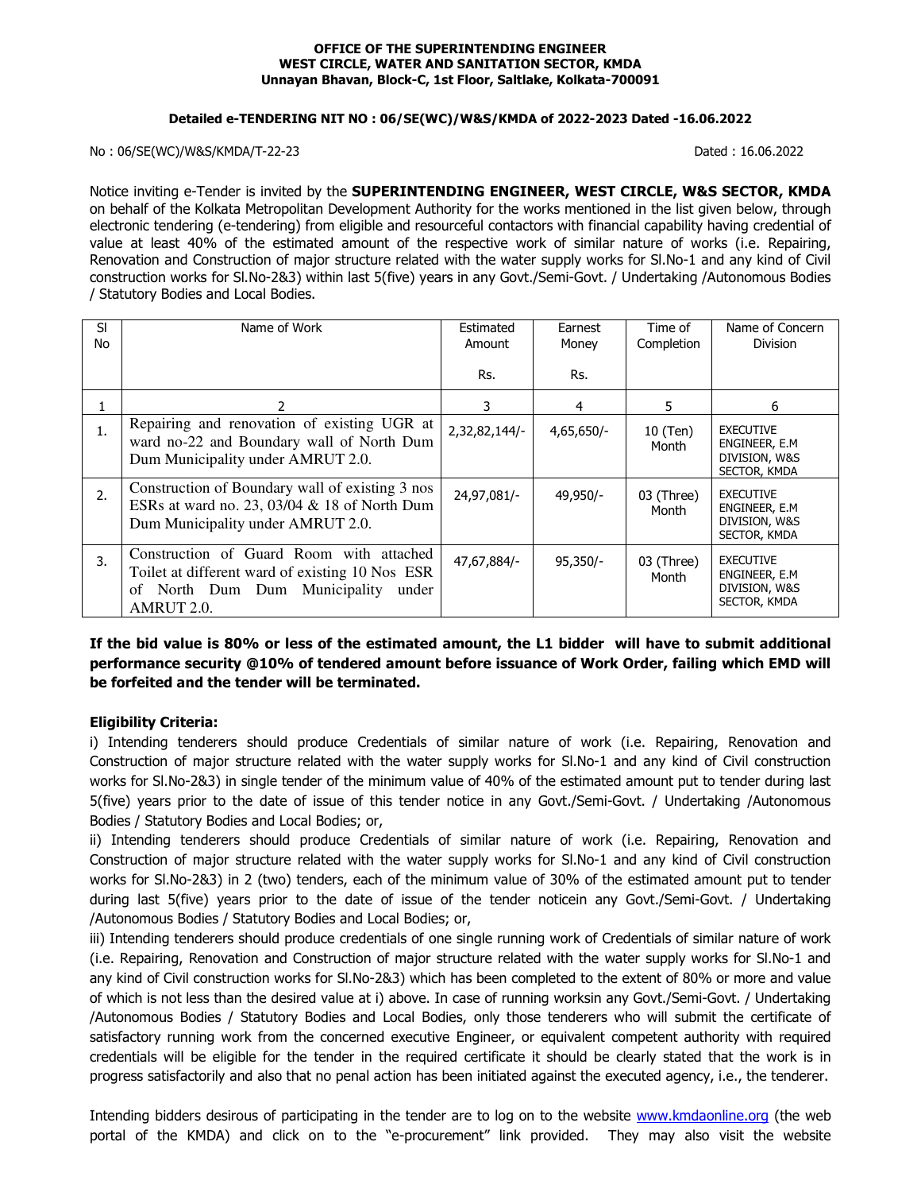#### **OFFICE OF THE SUPERINTENDING ENGINEER WEST CIRCLE, WATER AND SANITATION SECTOR, KMDA Unnayan Bhavan, Block-C, 1st Floor, Saltlake, Kolkata-700091**

#### **Detailed e-TENDERING NIT NO : 06/SE(WC)/W&S/KMDA of 2022-2023 Dated -16.06.2022**

No : 06/SE(WC)/W&S/KMDA/T-22-23 Dated : 16.06.2022

Notice inviting e-Tender is invited by the **SUPERINTENDING ENGINEER, WEST CIRCLE, W&S SECTOR, KMDA** on behalf of the Kolkata Metropolitan Development Authority for the works mentioned in the list given below, through electronic tendering (e-tendering) from eligible and resourceful contactors with financial capability having credential of value at least 40% of the estimated amount of the respective work of similar nature of works (i.e. Repairing, Renovation and Construction of major structure related with the water supply works for Sl.No-1 and any kind of Civil construction works for Sl.No-2&3) within last 5(five) years in any Govt./Semi-Govt. / Undertaking /Autonomous Bodies / Statutory Bodies and Local Bodies.

| SI<br>No | Name of Work                                                                                                                                        | Estimated<br>Amount | Earnest<br>Money | Time of<br>Completion | Name of Concern<br><b>Division</b>                                  |
|----------|-----------------------------------------------------------------------------------------------------------------------------------------------------|---------------------|------------------|-----------------------|---------------------------------------------------------------------|
|          |                                                                                                                                                     | Rs.                 | Rs.              |                       |                                                                     |
|          |                                                                                                                                                     | 3                   | 4                | 5.                    | 6                                                                   |
| 1.       | Repairing and renovation of existing UGR at<br>ward no-22 and Boundary wall of North Dum<br>Dum Municipality under AMRUT 2.0.                       | 2,32,82,144/-       | $4,65,650/-$     | 10 (Ten)<br>Month     | <b>EXECUTIVE</b><br>ENGINEER, E.M.<br>DIVISION, W&S<br>SECTOR, KMDA |
| 2.       | Construction of Boundary wall of existing 3 nos<br>ESRs at ward no. 23, 03/04 $&$ 18 of North Dum<br>Dum Municipality under AMRUT 2.0.              | 24,97,081/-         | 49,950/-         | 03 (Three)<br>Month   | <b>EXECUTIVE</b><br>ENGINEER, E.M.<br>DIVISION, W&S<br>SECTOR, KMDA |
| 3.       | Construction of Guard Room with attached<br>Toilet at different ward of existing 10 Nos ESR<br>of North Dum Dum Municipality<br>under<br>AMRUT 2.0. | 47,67,884/-         | $95,350/-$       | 03 (Three)<br>Month   | <b>EXECUTIVE</b><br>ENGINEER, E.M.<br>DIVISION, W&S<br>SECTOR, KMDA |

# **If the bid value is 80% or less of the estimated amount, the L1 bidder will have to submit additional performance security @10% of tendered amount before issuance of Work Order, failing which EMD will be forfeited and the tender will be terminated.**

#### **Eligibility Criteria:**

i) Intending tenderers should produce Credentials of similar nature of work (i.e. Repairing, Renovation and Construction of major structure related with the water supply works for Sl.No-1 and any kind of Civil construction works for Sl.No-2&3) in single tender of the minimum value of 40% of the estimated amount put to tender during last 5(five) years prior to the date of issue of this tender notice in any Govt./Semi-Govt. / Undertaking /Autonomous Bodies / Statutory Bodies and Local Bodies; or,

ii) Intending tenderers should produce Credentials of similar nature of work (i.e. Repairing, Renovation and Construction of major structure related with the water supply works for Sl.No-1 and any kind of Civil construction works for Sl.No-2&3) in 2 (two) tenders, each of the minimum value of 30% of the estimated amount put to tender during last 5(five) years prior to the date of issue of the tender noticein any Govt./Semi-Govt. / Undertaking /Autonomous Bodies / Statutory Bodies and Local Bodies; or,

iii) Intending tenderers should produce credentials of one single running work of Credentials of similar nature of work (i.e. Repairing, Renovation and Construction of major structure related with the water supply works for Sl.No-1 and any kind of Civil construction works for Sl.No-2&3) which has been completed to the extent of 80% or more and value of which is not less than the desired value at i) above. In case of running worksin any Govt./Semi-Govt. / Undertaking /Autonomous Bodies / Statutory Bodies and Local Bodies, only those tenderers who will submit the certificate of satisfactory running work from the concerned executive Engineer, or equivalent competent authority with required credentials will be eligible for the tender in the required certificate it should be clearly stated that the work is in progress satisfactorily and also that no penal action has been initiated against the executed agency, i.e., the tenderer.

Intending bidders desirous of participating in the tender are to log on to the website www.kmdaonline.org (the web portal of the KMDA) and click on to the "e-procurement" link provided. They may also visit the website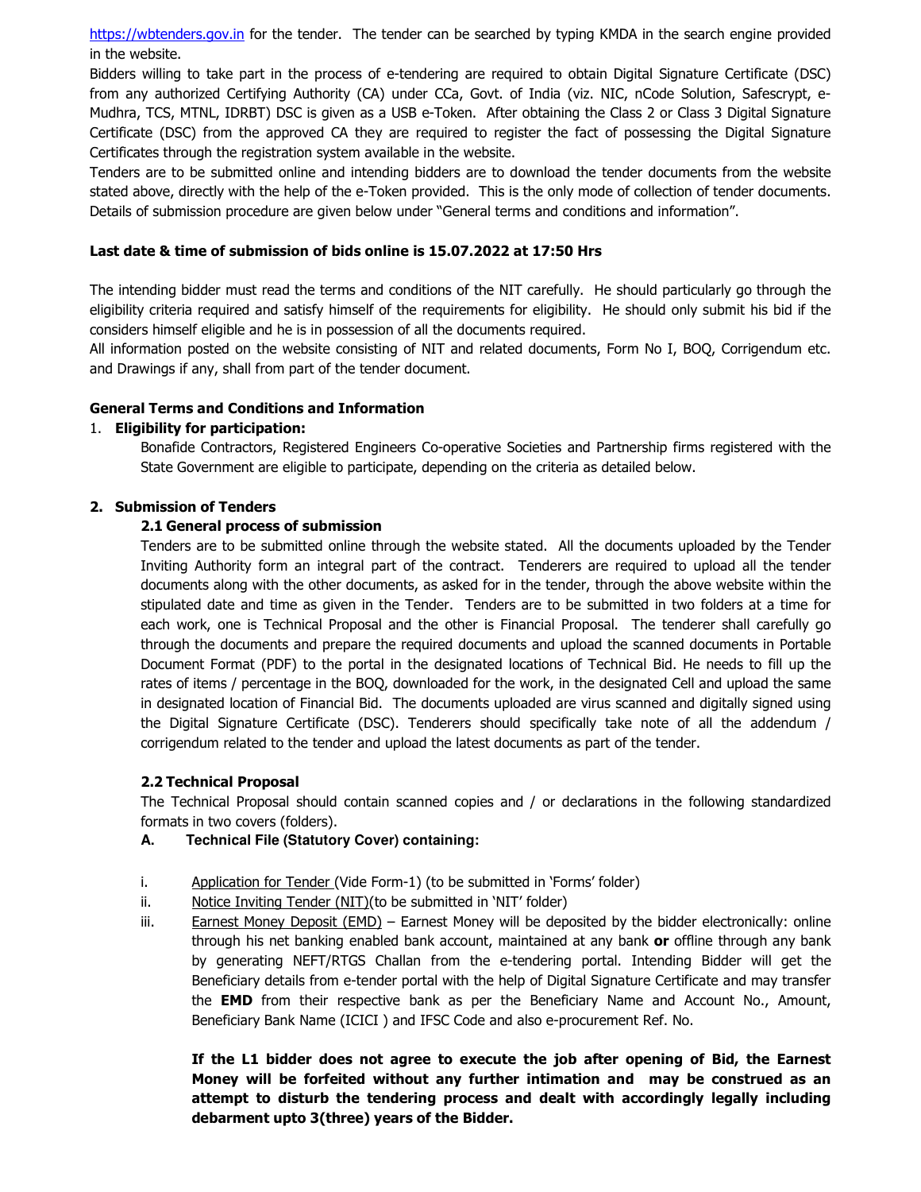https://wbtenders.gov.in for the tender. The tender can be searched by typing KMDA in the search engine provided in the website.

Bidders willing to take part in the process of e-tendering are required to obtain Digital Signature Certificate (DSC) from any authorized Certifying Authority (CA) under CCa, Govt. of India (viz. NIC, nCode Solution, Safescrypt, e-Mudhra, TCS, MTNL, IDRBT) DSC is given as a USB e-Token. After obtaining the Class 2 or Class 3 Digital Signature Certificate (DSC) from the approved CA they are required to register the fact of possessing the Digital Signature Certificates through the registration system available in the website.

Tenders are to be submitted online and intending bidders are to download the tender documents from the website stated above, directly with the help of the e-Token provided. This is the only mode of collection of tender documents. Details of submission procedure are given below under "General terms and conditions and information".

### **Last date & time of submission of bids online is 15.07.2022 at 17:50 Hrs**

The intending bidder must read the terms and conditions of the NIT carefully. He should particularly go through the eligibility criteria required and satisfy himself of the requirements for eligibility. He should only submit his bid if the considers himself eligible and he is in possession of all the documents required.

All information posted on the website consisting of NIT and related documents, Form No I, BOQ, Corrigendum etc. and Drawings if any, shall from part of the tender document.

#### **General Terms and Conditions and Information**

#### 1. **Eligibility for participation:**

Bonafide Contractors, Registered Engineers Co-operative Societies and Partnership firms registered with the State Government are eligible to participate, depending on the criteria as detailed below.

#### **2. Submission of Tenders**

#### **2.1 General process of submission**

Tenders are to be submitted online through the website stated. All the documents uploaded by the Tender Inviting Authority form an integral part of the contract. Tenderers are required to upload all the tender documents along with the other documents, as asked for in the tender, through the above website within the stipulated date and time as given in the Tender. Tenders are to be submitted in two folders at a time for each work, one is Technical Proposal and the other is Financial Proposal. The tenderer shall carefully go through the documents and prepare the required documents and upload the scanned documents in Portable Document Format (PDF) to the portal in the designated locations of Technical Bid. He needs to fill up the rates of items / percentage in the BOQ, downloaded for the work, in the designated Cell and upload the same in designated location of Financial Bid. The documents uploaded are virus scanned and digitally signed using the Digital Signature Certificate (DSC). Tenderers should specifically take note of all the addendum / corrigendum related to the tender and upload the latest documents as part of the tender.

#### **2.2 Technical Proposal**

The Technical Proposal should contain scanned copies and / or declarations in the following standardized formats in two covers (folders).

- **A. Technical File (Statutory Cover) containing:**
- i. Application for Tender (Vide Form-1) (to be submitted in 'Forms' folder)
- ii. Notice Inviting Tender (NIT)(to be submitted in 'NIT' folder)
- iii. Earnest Money Deposit (EMD) Earnest Money will be deposited by the bidder electronically: online through his net banking enabled bank account, maintained at any bank **or** offline through any bank by generating NEFT/RTGS Challan from the e-tendering portal. Intending Bidder will get the Beneficiary details from e-tender portal with the help of Digital Signature Certificate and may transfer the **EMD** from their respective bank as per the Beneficiary Name and Account No., Amount, Beneficiary Bank Name (ICICI ) and IFSC Code and also e-procurement Ref. No.

**If the L1 bidder does not agree to execute the job after opening of Bid, the Earnest Money will be forfeited without any further intimation and may be construed as an attempt to disturb the tendering process and dealt with accordingly legally including debarment upto 3(three) years of the Bidder.**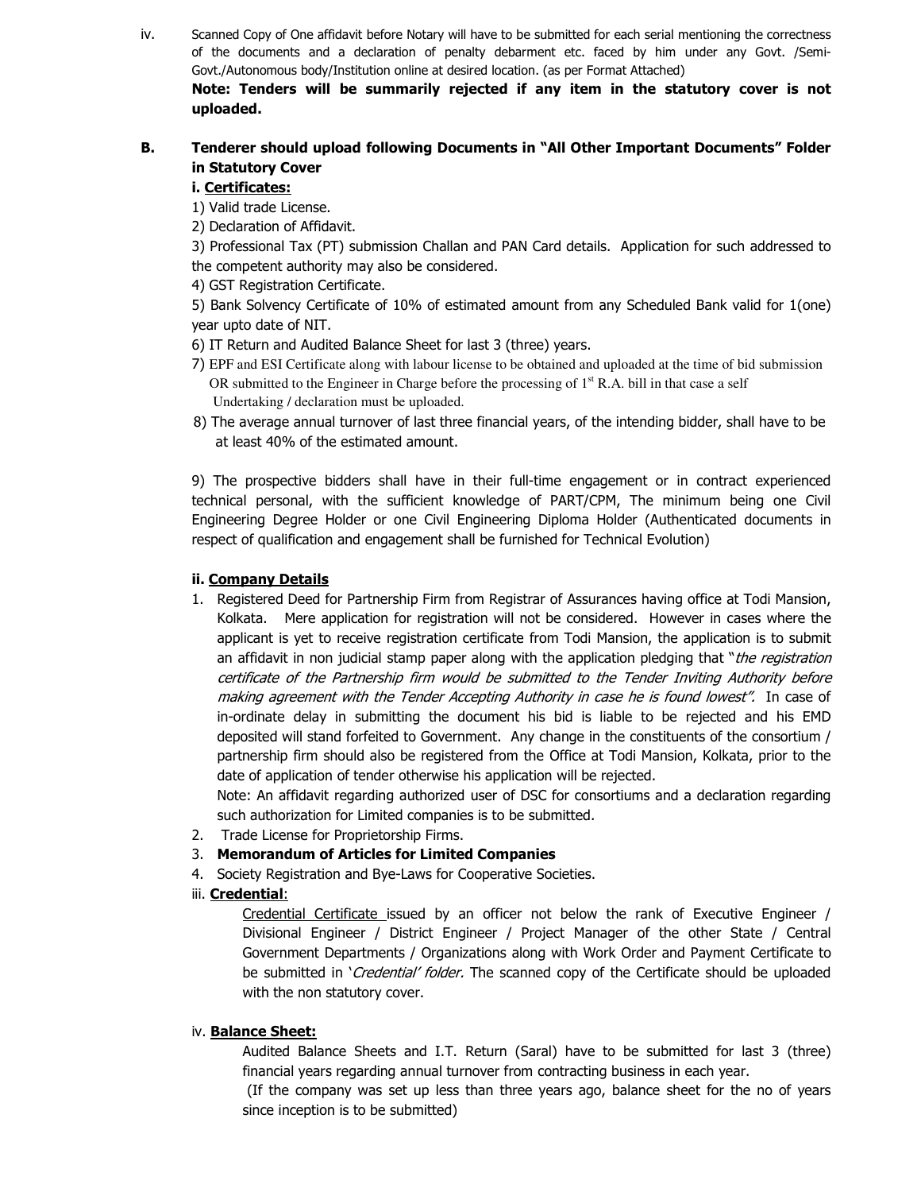iv. Scanned Copy of One affidavit before Notary will have to be submitted for each serial mentioning the correctness of the documents and a declaration of penalty debarment etc. faced by him under any Govt. /Semi-Govt./Autonomous body/Institution online at desired location. (as per Format Attached) **Note: Tenders will be summarily rejected if any item in the statutory cover is not** 

# **B. Tenderer should upload following Documents in "All Other Important Documents" Folder in Statutory Cover**

### **i. Certificates:**

**uploaded.** 

1) Valid trade License.

2) Declaration of Affidavit.

3) Professional Tax (PT) submission Challan and PAN Card details. Application for such addressed to the competent authority may also be considered.

4) GST Registration Certificate.

5) Bank Solvency Certificate of 10% of estimated amount from any Scheduled Bank valid for 1(one) year upto date of NIT.

6) IT Return and Audited Balance Sheet for last 3 (three) years.

- 7) EPF and ESI Certificate along with labour license to be obtained and uploaded at the time of bid submission OR submitted to the Engineer in Charge before the processing of  $1<sup>st</sup>$  R.A. bill in that case a self Undertaking / declaration must be uploaded.
- 8) The average annual turnover of last three financial years, of the intending bidder, shall have to be at least 40% of the estimated amount.

9) The prospective bidders shall have in their full-time engagement or in contract experienced technical personal, with the sufficient knowledge of PART/CPM, The minimum being one Civil Engineering Degree Holder or one Civil Engineering Diploma Holder (Authenticated documents in respect of qualification and engagement shall be furnished for Technical Evolution)

## **ii. Company Details**

1. Registered Deed for Partnership Firm from Registrar of Assurances having office at Todi Mansion, Kolkata. Mere application for registration will not be considered. However in cases where the applicant is yet to receive registration certificate from Todi Mansion, the application is to submit an affidavit in non judicial stamp paper along with the application pledging that "*the registration* certificate of the Partnership firm would be submitted to the Tender Inviting Authority before making agreement with the Tender Accepting Authority in case he is found lowest". In case of in-ordinate delay in submitting the document his bid is liable to be rejected and his EMD deposited will stand forfeited to Government. Any change in the constituents of the consortium / partnership firm should also be registered from the Office at Todi Mansion, Kolkata, prior to the date of application of tender otherwise his application will be rejected.

Note: An affidavit regarding authorized user of DSC for consortiums and a declaration regarding such authorization for Limited companies is to be submitted.

2. Trade License for Proprietorship Firms.

## 3. **Memorandum of Articles for Limited Companies**

- 4. Society Registration and Bye-Laws for Cooperative Societies.
- iii. **Credential**:

Credential Certificate issued by an officer not below the rank of Executive Engineer / Divisional Engineer / District Engineer / Project Manager of the other State / Central Government Departments / Organizations along with Work Order and Payment Certificate to be submitted in 'Credential' folder. The scanned copy of the Certificate should be uploaded with the non statutory cover.

#### iv. **Balance Sheet:**

Audited Balance Sheets and I.T. Return (Saral) have to be submitted for last 3 (three) financial years regarding annual turnover from contracting business in each year.

 (If the company was set up less than three years ago, balance sheet for the no of years since inception is to be submitted)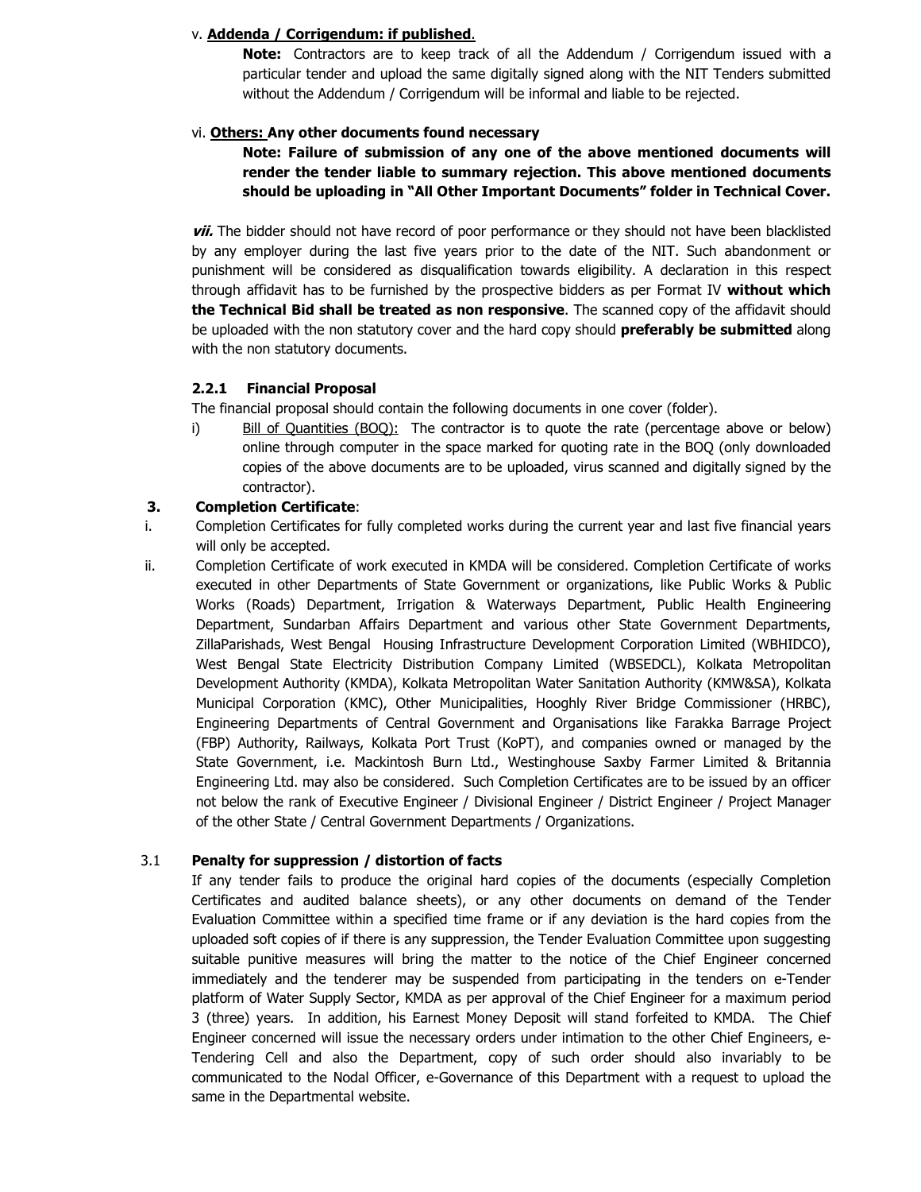### v. **Addenda / Corrigendum: if published**.

**Note:** Contractors are to keep track of all the Addendum / Corrigendum issued with a particular tender and upload the same digitally signed along with the NIT Tenders submitted without the Addendum / Corrigendum will be informal and liable to be rejected.

### vi. **Others: Any other documents found necessary**

**Note: Failure of submission of any one of the above mentioned documents will render the tender liable to summary rejection. This above mentioned documents should be uploading in "All Other Important Documents" folder in Technical Cover.** 

**vii.** The bidder should not have record of poor performance or they should not have been blacklisted by any employer during the last five years prior to the date of the NIT. Such abandonment or punishment will be considered as disqualification towards eligibility. A declaration in this respect through affidavit has to be furnished by the prospective bidders as per Format IV **without which the Technical Bid shall be treated as non responsive**. The scanned copy of the affidavit should be uploaded with the non statutory cover and the hard copy should **preferably be submitted** along with the non statutory documents.

### **2.2.1 Financial Proposal**

The financial proposal should contain the following documents in one cover (folder).

i) Bill of Quantities (BOQ): The contractor is to quote the rate (percentage above or below) online through computer in the space marked for quoting rate in the BOQ (only downloaded copies of the above documents are to be uploaded, virus scanned and digitally signed by the contractor).

### **3. Completion Certificate**:

- i. Completion Certificates for fully completed works during the current year and last five financial years will only be accepted.
- ii. Completion Certificate of work executed in KMDA will be considered. Completion Certificate of works executed in other Departments of State Government or organizations, like Public Works & Public Works (Roads) Department, Irrigation & Waterways Department, Public Health Engineering Department, Sundarban Affairs Department and various other State Government Departments, ZillaParishads, West Bengal Housing Infrastructure Development Corporation Limited (WBHIDCO), West Bengal State Electricity Distribution Company Limited (WBSEDCL), Kolkata Metropolitan Development Authority (KMDA), Kolkata Metropolitan Water Sanitation Authority (KMW&SA), Kolkata Municipal Corporation (KMC), Other Municipalities, Hooghly River Bridge Commissioner (HRBC), Engineering Departments of Central Government and Organisations like Farakka Barrage Project (FBP) Authority, Railways, Kolkata Port Trust (KoPT), and companies owned or managed by the State Government, i.e. Mackintosh Burn Ltd., Westinghouse Saxby Farmer Limited & Britannia Engineering Ltd. may also be considered. Such Completion Certificates are to be issued by an officer not below the rank of Executive Engineer / Divisional Engineer / District Engineer / Project Manager of the other State / Central Government Departments / Organizations.

## 3.1 **Penalty for suppression / distortion of facts**

If any tender fails to produce the original hard copies of the documents (especially Completion Certificates and audited balance sheets), or any other documents on demand of the Tender Evaluation Committee within a specified time frame or if any deviation is the hard copies from the uploaded soft copies of if there is any suppression, the Tender Evaluation Committee upon suggesting suitable punitive measures will bring the matter to the notice of the Chief Engineer concerned immediately and the tenderer may be suspended from participating in the tenders on e-Tender platform of Water Supply Sector, KMDA as per approval of the Chief Engineer for a maximum period 3 (three) years. In addition, his Earnest Money Deposit will stand forfeited to KMDA. The Chief Engineer concerned will issue the necessary orders under intimation to the other Chief Engineers, e-Tendering Cell and also the Department, copy of such order should also invariably to be communicated to the Nodal Officer, e-Governance of this Department with a request to upload the same in the Departmental website.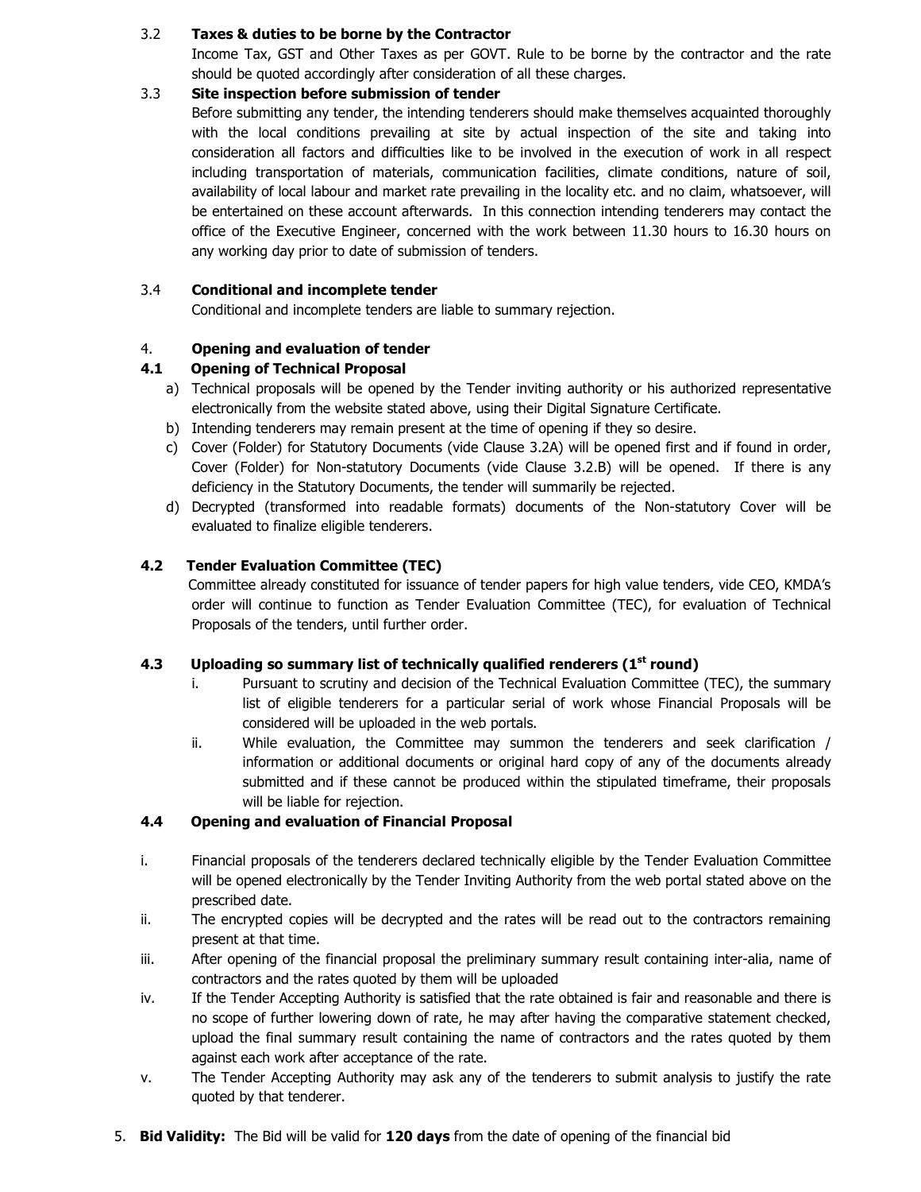## 3.2 **Taxes & duties to be borne by the Contractor**

Income Tax, GST and Other Taxes as per GOVT. Rule to be borne by the contractor and the rate should be quoted accordingly after consideration of all these charges.

## 3.3 **Site inspection before submission of tender**

Before submitting any tender, the intending tenderers should make themselves acquainted thoroughly with the local conditions prevailing at site by actual inspection of the site and taking into consideration all factors and difficulties like to be involved in the execution of work in all respect including transportation of materials, communication facilities, climate conditions, nature of soil, availability of local labour and market rate prevailing in the locality etc. and no claim, whatsoever, will be entertained on these account afterwards. In this connection intending tenderers may contact the office of the Executive Engineer, concerned with the work between 11.30 hours to 16.30 hours on any working day prior to date of submission of tenders.

## 3.4 **Conditional and incomplete tender**

Conditional and incomplete tenders are liable to summary rejection.

# 4. **Opening and evaluation of tender**

# **4.1 Opening of Technical Proposal**

- a) Technical proposals will be opened by the Tender inviting authority or his authorized representative electronically from the website stated above, using their Digital Signature Certificate.
- b) Intending tenderers may remain present at the time of opening if they so desire.
- c) Cover (Folder) for Statutory Documents (vide Clause 3.2A) will be opened first and if found in order, Cover (Folder) for Non-statutory Documents (vide Clause 3.2.B) will be opened. If there is any deficiency in the Statutory Documents, the tender will summarily be rejected.
- d) Decrypted (transformed into readable formats) documents of the Non-statutory Cover will be evaluated to finalize eligible tenderers.

# **4.2 Tender Evaluation Committee (TEC)**

 Committee already constituted for issuance of tender papers for high value tenders, vide CEO, KMDA's order will continue to function as Tender Evaluation Committee (TEC), for evaluation of Technical Proposals of the tenders, until further order.

## **4.3 Uploading so summary list of technically qualified renderers (1st round)**

- i. Pursuant to scrutiny and decision of the Technical Evaluation Committee (TEC), the summary list of eligible tenderers for a particular serial of work whose Financial Proposals will be considered will be uploaded in the web portals.
- ii. While evaluation, the Committee may summon the tenderers and seek clarification / information or additional documents or original hard copy of any of the documents already submitted and if these cannot be produced within the stipulated timeframe, their proposals will be liable for rejection.

## **4.4 Opening and evaluation of Financial Proposal**

- i. Financial proposals of the tenderers declared technically eligible by the Tender Evaluation Committee will be opened electronically by the Tender Inviting Authority from the web portal stated above on the prescribed date.
- ii. The encrypted copies will be decrypted and the rates will be read out to the contractors remaining present at that time.
- iii. After opening of the financial proposal the preliminary summary result containing inter-alia, name of contractors and the rates quoted by them will be uploaded
- iv. If the Tender Accepting Authority is satisfied that the rate obtained is fair and reasonable and there is no scope of further lowering down of rate, he may after having the comparative statement checked, upload the final summary result containing the name of contractors and the rates quoted by them against each work after acceptance of the rate.
- v. The Tender Accepting Authority may ask any of the tenderers to submit analysis to justify the rate quoted by that tenderer.
- 5. **Bid Validity:** The Bid will be valid for **120 days** from the date of opening of the financial bid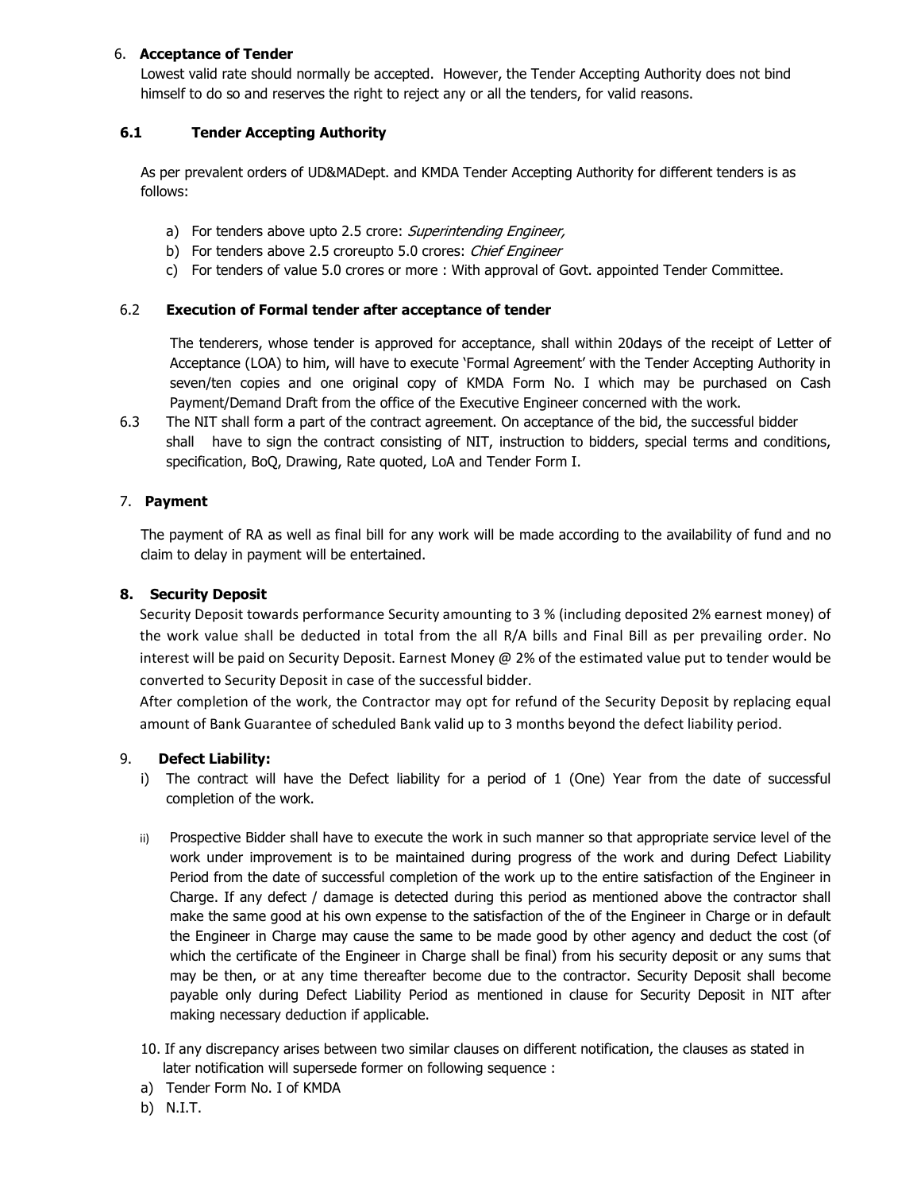### 6. **Acceptance of Tender**

Lowest valid rate should normally be accepted. However, the Tender Accepting Authority does not bind himself to do so and reserves the right to reject any or all the tenders, for valid reasons.

## **6.1 Tender Accepting Authority**

As per prevalent orders of UD&MADept. and KMDA Tender Accepting Authority for different tenders is as follows:

- a) For tenders above upto 2.5 crore: Superintending Engineer,
- b) For tenders above 2.5 croreupto 5.0 crores: Chief Engineer
- c) For tenders of value 5.0 crores or more : With approval of Govt. appointed Tender Committee.

### 6.2 **Execution of Formal tender after acceptance of tender**

The tenderers, whose tender is approved for acceptance, shall within 20days of the receipt of Letter of Acceptance (LOA) to him, will have to execute 'Formal Agreement' with the Tender Accepting Authority in seven/ten copies and one original copy of KMDA Form No. I which may be purchased on Cash Payment/Demand Draft from the office of the Executive Engineer concerned with the work.

6.3 The NIT shall form a part of the contract agreement. On acceptance of the bid, the successful bidder shall have to sign the contract consisting of NIT, instruction to bidders, special terms and conditions, specification, BoQ, Drawing, Rate quoted, LoA and Tender Form I.

## 7. **Payment**

The payment of RA as well as final bill for any work will be made according to the availability of fund and no claim to delay in payment will be entertained.

### **8. Security Deposit**

Security Deposit towards performance Security amounting to 3 % (including deposited 2% earnest money) of the work value shall be deducted in total from the all R/A bills and Final Bill as per prevailing order. No interest will be paid on Security Deposit. Earnest Money @ 2% of the estimated value put to tender would be converted to Security Deposit in case of the successful bidder.

After completion of the work, the Contractor may opt for refund of the Security Deposit by replacing equal amount of Bank Guarantee of scheduled Bank valid up to 3 months beyond the defect liability period.

#### 9. **Defect Liability:**

- i) The contract will have the Defect liability for a period of 1 (One) Year from the date of successful completion of the work.
- ii) Prospective Bidder shall have to execute the work in such manner so that appropriate service level of the work under improvement is to be maintained during progress of the work and during Defect Liability Period from the date of successful completion of the work up to the entire satisfaction of the Engineer in Charge. If any defect / damage is detected during this period as mentioned above the contractor shall make the same good at his own expense to the satisfaction of the of the Engineer in Charge or in default the Engineer in Charge may cause the same to be made good by other agency and deduct the cost (of which the certificate of the Engineer in Charge shall be final) from his security deposit or any sums that may be then, or at any time thereafter become due to the contractor. Security Deposit shall become payable only during Defect Liability Period as mentioned in clause for Security Deposit in NIT after making necessary deduction if applicable.
- 10. If any discrepancy arises between two similar clauses on different notification, the clauses as stated in later notification will supersede former on following sequence :
- a) Tender Form No. I of KMDA
- b) N.I.T.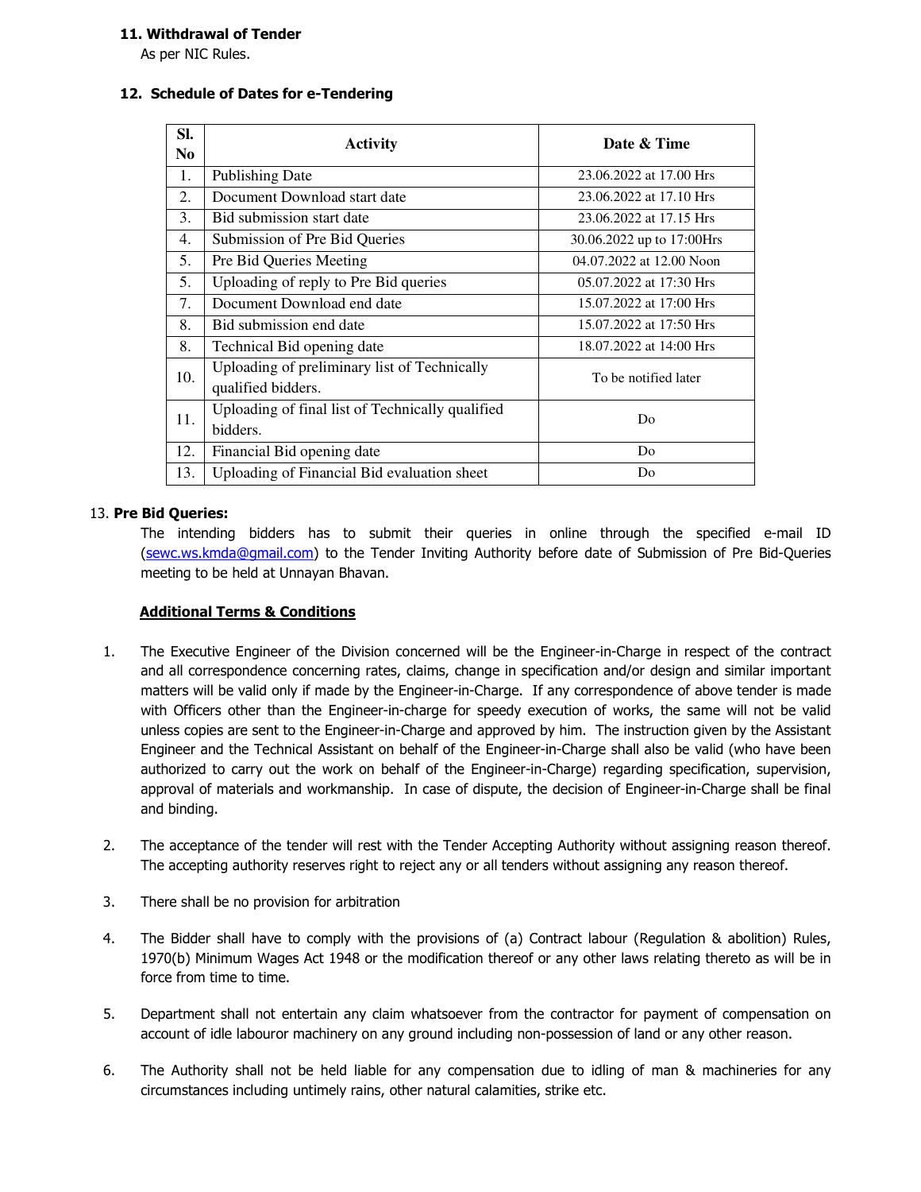### **11. Withdrawal of Tender**

As per NIC Rules.

### **12. Schedule of Dates for e-Tendering**

| SI.<br>N <sub>0</sub> | <b>Activity</b>                                                    | Date & Time               |  |  |
|-----------------------|--------------------------------------------------------------------|---------------------------|--|--|
| 1.                    | <b>Publishing Date</b>                                             | 23.06.2022 at 17.00 Hrs   |  |  |
| 2.                    | Document Download start date                                       | 23.06.2022 at 17.10 Hrs   |  |  |
| 3.                    | Bid submission start date                                          | 23.06.2022 at 17.15 Hrs   |  |  |
| 4.                    | Submission of Pre Bid Queries                                      | 30.06.2022 up to 17:00Hrs |  |  |
| 5.                    | Pre Bid Queries Meeting                                            | 04.07.2022 at 12.00 Noon  |  |  |
| 5.                    | Uploading of reply to Pre Bid queries                              | 05.07.2022 at 17:30 Hrs   |  |  |
| 7.                    | Document Download end date                                         | 15.07.2022 at 17:00 Hrs   |  |  |
| 8.                    | Bid submission end date                                            | 15.07.2022 at 17:50 Hrs   |  |  |
| 8.                    | Technical Bid opening date                                         | 18.07.2022 at 14:00 Hrs   |  |  |
| 10.                   | Uploading of preliminary list of Technically<br>qualified bidders. | To be notified later      |  |  |
| 11.                   | Uploading of final list of Technically qualified                   | D <sub>0</sub>            |  |  |
|                       | bidders.                                                           |                           |  |  |
| 12.                   | Financial Bid opening date                                         | Do                        |  |  |
| 13.                   | Uploading of Financial Bid evaluation sheet                        | Do                        |  |  |

#### 13. **Pre Bid Queries:**

The intending bidders has to submit their queries in online through the specified e-mail ID (sewc.ws.kmda@gmail.com) to the Tender Inviting Authority before date of Submission of Pre Bid-Queries meeting to be held at Unnayan Bhavan.

## **Additional Terms & Conditions**

- 1. The Executive Engineer of the Division concerned will be the Engineer-in-Charge in respect of the contract and all correspondence concerning rates, claims, change in specification and/or design and similar important matters will be valid only if made by the Engineer-in-Charge. If any correspondence of above tender is made with Officers other than the Engineer-in-charge for speedy execution of works, the same will not be valid unless copies are sent to the Engineer-in-Charge and approved by him. The instruction given by the Assistant Engineer and the Technical Assistant on behalf of the Engineer-in-Charge shall also be valid (who have been authorized to carry out the work on behalf of the Engineer-in-Charge) regarding specification, supervision, approval of materials and workmanship. In case of dispute, the decision of Engineer-in-Charge shall be final and binding.
- 2. The acceptance of the tender will rest with the Tender Accepting Authority without assigning reason thereof. The accepting authority reserves right to reject any or all tenders without assigning any reason thereof.
- 3. There shall be no provision for arbitration
- 4. The Bidder shall have to comply with the provisions of (a) Contract labour (Regulation & abolition) Rules, 1970(b) Minimum Wages Act 1948 or the modification thereof or any other laws relating thereto as will be in force from time to time.
- 5. Department shall not entertain any claim whatsoever from the contractor for payment of compensation on account of idle labouror machinery on any ground including non-possession of land or any other reason.
- 6. The Authority shall not be held liable for any compensation due to idling of man & machineries for any circumstances including untimely rains, other natural calamities, strike etc.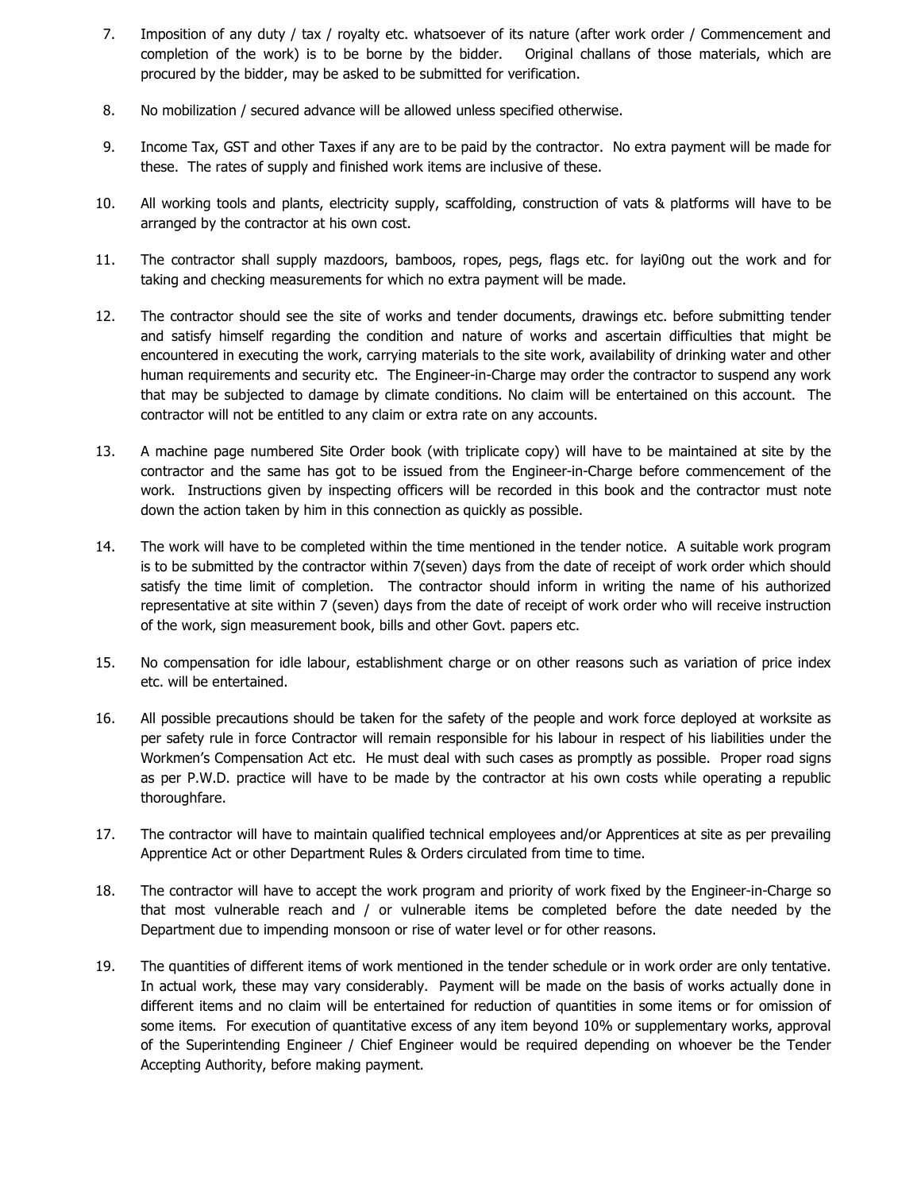- 7. Imposition of any duty / tax / royalty etc. whatsoever of its nature (after work order / Commencement and completion of the work) is to be borne by the bidder. Original challans of those materials, which are procured by the bidder, may be asked to be submitted for verification.
- 8. No mobilization / secured advance will be allowed unless specified otherwise.
- 9. Income Tax, GST and other Taxes if any are to be paid by the contractor. No extra payment will be made for these. The rates of supply and finished work items are inclusive of these.
- 10. All working tools and plants, electricity supply, scaffolding, construction of vats & platforms will have to be arranged by the contractor at his own cost.
- 11. The contractor shall supply mazdoors, bamboos, ropes, pegs, flags etc. for layi0ng out the work and for taking and checking measurements for which no extra payment will be made.
- 12. The contractor should see the site of works and tender documents, drawings etc. before submitting tender and satisfy himself regarding the condition and nature of works and ascertain difficulties that might be encountered in executing the work, carrying materials to the site work, availability of drinking water and other human requirements and security etc. The Engineer-in-Charge may order the contractor to suspend any work that may be subjected to damage by climate conditions. No claim will be entertained on this account. The contractor will not be entitled to any claim or extra rate on any accounts.
- 13. A machine page numbered Site Order book (with triplicate copy) will have to be maintained at site by the contractor and the same has got to be issued from the Engineer-in-Charge before commencement of the work. Instructions given by inspecting officers will be recorded in this book and the contractor must note down the action taken by him in this connection as quickly as possible.
- 14. The work will have to be completed within the time mentioned in the tender notice. A suitable work program is to be submitted by the contractor within 7(seven) days from the date of receipt of work order which should satisfy the time limit of completion. The contractor should inform in writing the name of his authorized representative at site within 7 (seven) days from the date of receipt of work order who will receive instruction of the work, sign measurement book, bills and other Govt. papers etc.
- 15. No compensation for idle labour, establishment charge or on other reasons such as variation of price index etc. will be entertained.
- 16. All possible precautions should be taken for the safety of the people and work force deployed at worksite as per safety rule in force Contractor will remain responsible for his labour in respect of his liabilities under the Workmen's Compensation Act etc. He must deal with such cases as promptly as possible. Proper road signs as per P.W.D. practice will have to be made by the contractor at his own costs while operating a republic thoroughfare.
- 17. The contractor will have to maintain qualified technical employees and/or Apprentices at site as per prevailing Apprentice Act or other Department Rules & Orders circulated from time to time.
- 18. The contractor will have to accept the work program and priority of work fixed by the Engineer-in-Charge so that most vulnerable reach and / or vulnerable items be completed before the date needed by the Department due to impending monsoon or rise of water level or for other reasons.
- 19. The quantities of different items of work mentioned in the tender schedule or in work order are only tentative. In actual work, these may vary considerably. Payment will be made on the basis of works actually done in different items and no claim will be entertained for reduction of quantities in some items or for omission of some items. For execution of quantitative excess of any item beyond 10% or supplementary works, approval of the Superintending Engineer / Chief Engineer would be required depending on whoever be the Tender Accepting Authority, before making payment.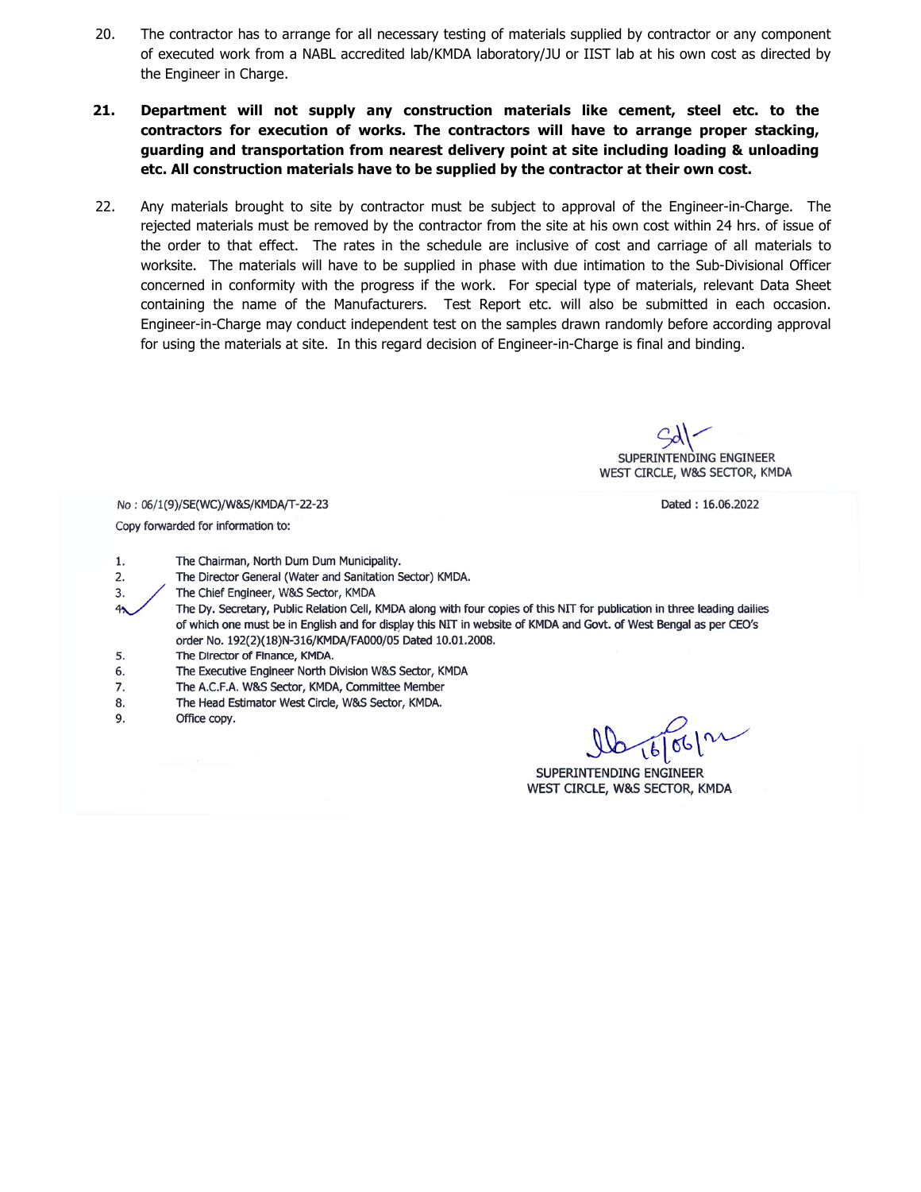- 20. The contractor has to arrange for all necessary testing of materials supplied by contractor or any component of executed work from a NABL accredited lab/KMDA laboratory/JU or IIST lab at his own cost as directed by the Engineer in Charge.
- **21. Department will not supply any construction materials like cement, steel etc. to the contractors for execution of works. The contractors will have to arrange proper stacking, guarding and transportation from nearest delivery point at site including loading & unloading etc. All construction materials have to be supplied by the contractor at their own cost.**
- 22. Any materials brought to site by contractor must be subject to approval of the Engineer-in-Charge. The rejected materials must be removed by the contractor from the site at his own cost within 24 hrs. of issue of the order to that effect. The rates in the schedule are inclusive of cost and carriage of all materials to worksite. The materials will have to be supplied in phase with due intimation to the Sub-Divisional Officer concerned in conformity with the progress if the work. For special type of materials, relevant Data Sheet containing the name of the Manufacturers. Test Report etc. will also be submitted in each occasion. Engineer-in-Charge may conduct independent test on the samples drawn randomly before according approval for using the materials at site. In this regard decision of Engineer-in-Charge is final and binding.

SUPERINTENDING ENGINEER WEST CIRCLE, W&S SECTOR, KMDA

Dated: 16.06.2022

No: 06/1(9)/SE(WC)/W&S/KMDA/T-22-23 Copy forwarded for information to:

 $1.$ The Chairman, North Dum Dum Municipality.

- The Director General (Water and Sanitation Sector) KMDA. 2.
- 3. The Chief Engineer, W&S Sector, KMDA
- The Dy. Secretary, Public Relation Cell, KMDA along with four copies of this NIT for publication in three leading dailies of which one must be in English and for display this NIT in website of KMDA and Govt. of West Bengal as per CEO's order No. 192(2)(18)N-316/KMDA/FA000/05 Dated 10.01.2008.
- 5. The Director of Finance, KMDA.
- 6. The Executive Engineer North Division W&S Sector, KMDA
- 7. The A.C.F.A. W&S Sector, KMDA, Committee Member
- The Head Estimator West Circle, W&S Sector, KMDA. 8.
- 9. Office copy.

16/06/12

SUPERINTENDING ENGINEER WEST CIRCLE, W&S SECTOR, KMDA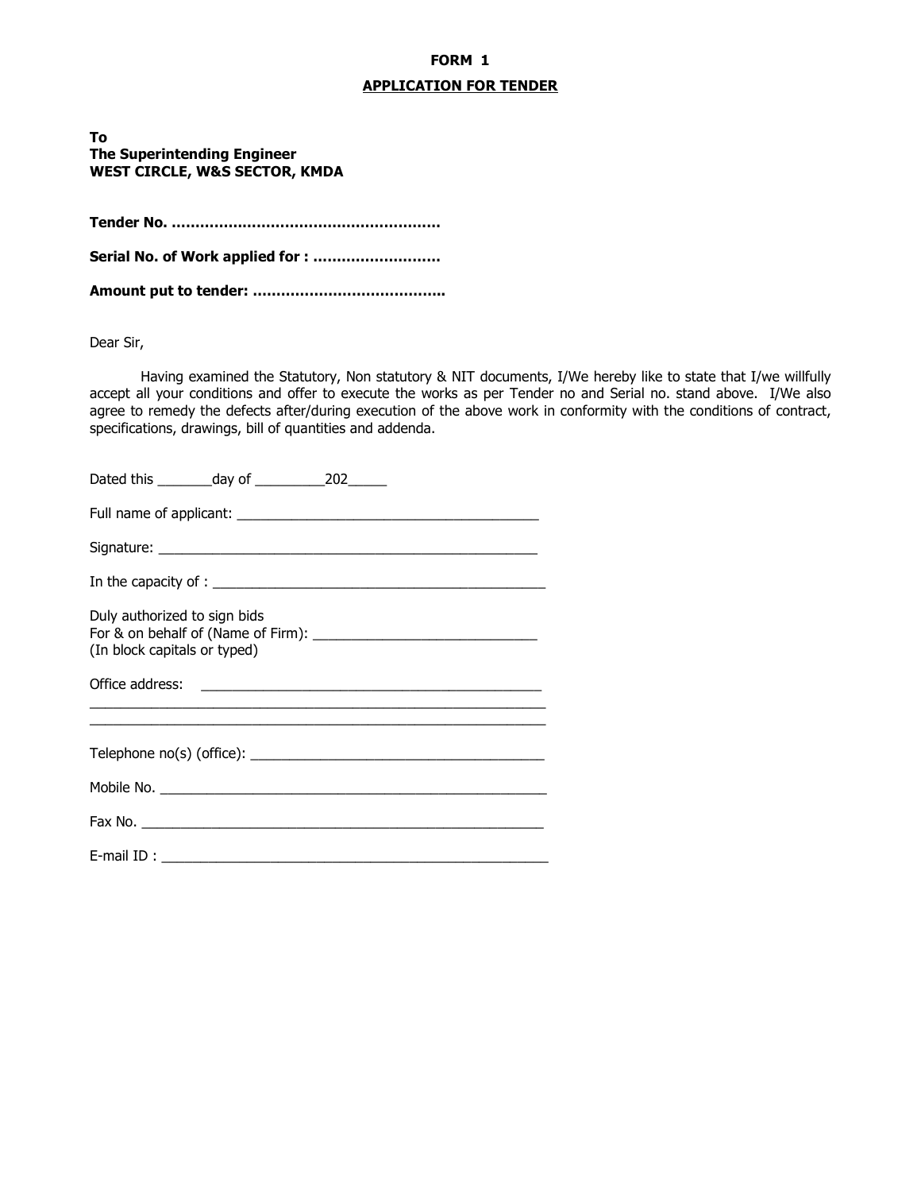# **FORM 1**

## **APPLICATION FOR TENDER**

**To The Superintending Engineer WEST CIRCLE, W&S SECTOR, KMDA** 

**Tender No. …………………………………………………** 

**Serial No. of Work applied for : ………………………** 

**Amount put to tender: …………………………………..** 

Dear Sir,

 Having examined the Statutory, Non statutory & NIT documents, I/We hereby like to state that I/we willfully accept all your conditions and offer to execute the works as per Tender no and Serial no. stand above. I/We also agree to remedy the defects after/during execution of the above work in conformity with the conditions of contract, specifications, drawings, bill of quantities and addenda.

| Duly authorized to sign bids<br>(In block capitals or typed) |
|--------------------------------------------------------------|
|                                                              |
|                                                              |
|                                                              |
|                                                              |
|                                                              |
|                                                              |
|                                                              |